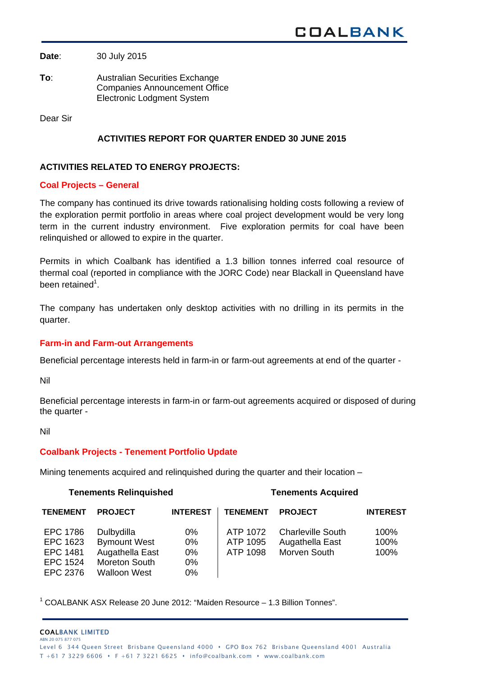**Date**: 30 July 2015

**To**: Australian Securities Exchange Companies Announcement Office Electronic Lodgment System

Dear Sir

# **ACTIVITIES REPORT FOR QUARTER ENDED 30 JUNE 2015**

## **ACTIVITIES RELATED TO ENERGY PROJECTS:**

## **Coal Projects – General**

The company has continued its drive towards rationalising holding costs following a review of the exploration permit portfolio in areas where coal project development would be very long term in the current industry environment. Five exploration permits for coal have been relinquished or allowed to expire in the quarter.

Permits in which Coalbank has identified a 1.3 billion tonnes inferred coal resource of thermal coal (reported in compliance with the JORC Code) near Blackall in Queensland have been retained<sup>1</sup>.

The company has undertaken only desktop activities with no drilling in its permits in the quarter.

## **Farm-in and Farm-out Arrangements**

Beneficial percentage interests held in farm-in or farm-out agreements at end of the quarter -

Nil

Beneficial percentage interests in farm-in or farm-out agreements acquired or disposed of during the quarter -

Nil

## **Coalbank Projects - Tenement Portfolio Update**

Mining tenements acquired and relinquished during the quarter and their location –

## **Tenements Relinquished Tenements Acquired**

| <b>TENEMENT</b> | <b>PROJECT</b>      | <b>INTEREST</b> | <b>TENEMENT</b> | <b>PROJECT</b>           | <b>INTEREST</b> |
|-----------------|---------------------|-----------------|-----------------|--------------------------|-----------------|
| EPC 1786        | Dulbydilla          | 0%              | ATP 1072        | <b>Charleville South</b> | 100%            |
| EPC 1623        | <b>Bymount West</b> | 0%              | ATP 1095        | Augathella East          | 100%            |
| <b>EPC 1481</b> | Augathella East     | 0%              | ATP 1098        | Morven South             | 100%            |
| <b>EPC 1524</b> | Moreton South       | $0\%$           |                 |                          |                 |
| EPC 2376        | Walloon West        | 0%              |                 |                          |                 |

<sup>1</sup> COALBANK ASX Release 20 June 2012: "Maiden Resource - 1.3 Billion Tonnes".